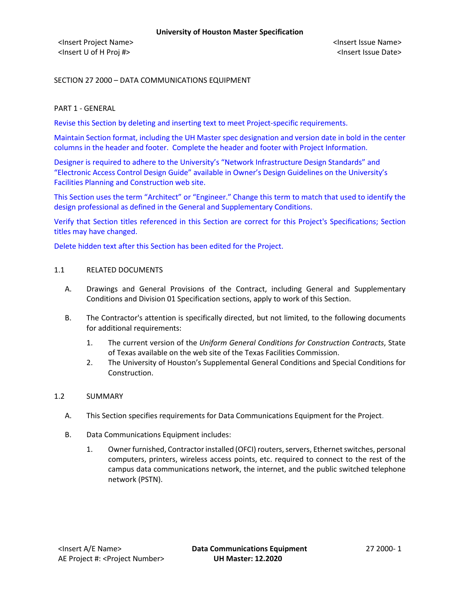<Insert Project Name> <Insert Issue Name> <Insert U of H Proj #> <Insert Issue Date>

SECTION 27 2000 – DATA COMMUNICATIONS EQUIPMENT

## PART 1 - GENERAL

Revise this Section by deleting and inserting text to meet Project-specific requirements.

Maintain Section format, including the UH Master spec designation and version date in bold in the center columns in the header and footer. Complete the header and footer with Project Information.

Designer is required to adhere to the University's "Network Infrastructure Design Standards" and "Electronic Access Control Design Guide" available in Owner's Design Guidelines on the University's Facilities Planning and Construction web site.

This Section uses the term "Architect" or "Engineer." Change this term to match that used to identify the design professional as defined in the General and Supplementary Conditions.

Verify that Section titles referenced in this Section are correct for this Project's Specifications; Section titles may have changed.

Delete hidden text after this Section has been edited for the Project.

## 1.1 RELATED DOCUMENTS

- A. Drawings and General Provisions of the Contract, including General and Supplementary Conditions and Division 01 Specification sections, apply to work of this Section.
- B. The Contractor's attention is specifically directed, but not limited, to the following documents for additional requirements:
	- 1. The current version of the *Uniform General Conditions for Construction Contracts*, State of Texas available on the web site of the Texas Facilities Commission.
	- 2. The University of Houston's Supplemental General Conditions and Special Conditions for Construction.

## 1.2 SUMMARY

- A. This Section specifies requirements for Data Communications Equipment for the Project.
- B. Data Communications Equipment includes:
	- 1. Owner furnished, Contractor installed (OFCI) routers, servers, Ethernet switches, personal computers, printers, wireless access points, etc. required to connect to the rest of the campus data communications network, the internet, and the public switched telephone network (PSTN).